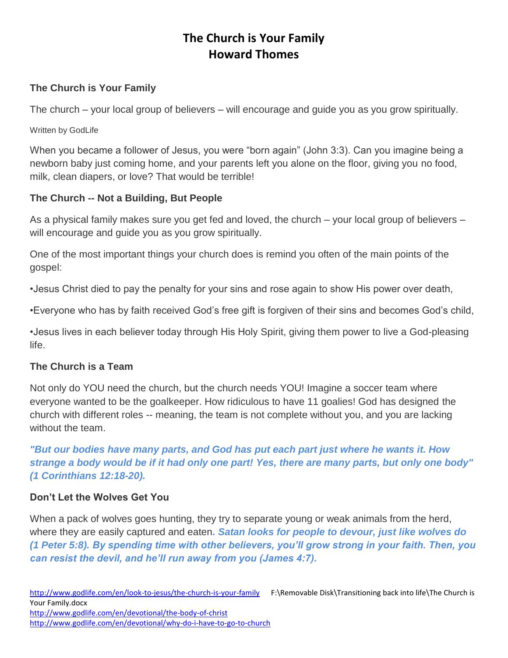### **The Church is Your Family**

The church – your local group of believers – will encourage and guide you as you grow spiritually.

Written by GodLife

When you became a follower of Jesus, you were "born again" (John 3:3). Can you imagine being a newborn baby just coming home, and your parents left you alone on the floor, giving you no food, milk, clean diapers, or love? That would be terrible!

### **The Church -- Not a Building, But People**

As a physical family makes sure you get fed and loved, the church – your local group of believers – will encourage and guide you as you grow spiritually.

One of the most important things your church does is remind you often of the main points of the gospel:

•Jesus Christ died to pay the penalty for your sins and rose again to show His power over death,

•Everyone who has by faith received God's free gift is forgiven of their sins and becomes God's child,

•Jesus lives in each believer today through His Holy Spirit, giving them power to live a God-pleasing life.

### **The Church is a Team**

Not only do YOU need the church, but the church needs YOU! Imagine a soccer team where everyone wanted to be the goalkeeper. How ridiculous to have 11 goalies! God has designed the church with different roles -- meaning, the team is not complete without you, and you are lacking without the team.

*"But our bodies have many parts, and God has put each part just where he wants it. How strange a body would be if it had only one part! Yes, there are many parts, but only one body" (1 Corinthians 12:18-20).*

### **Don't Let the Wolves Get You**

When a pack of wolves goes hunting, they try to separate young or weak animals from the herd, where they are easily captured and eaten*. Satan looks for people to devour, just like wolves do (1 Peter 5:8). By spending time with other believers, you'll grow strong in your faith. Then, you can resist the devil, and he'll run away from you (James 4:7).*

<http://www.godlife.com/en/devotional/why-do-i-have-to-go-to-church>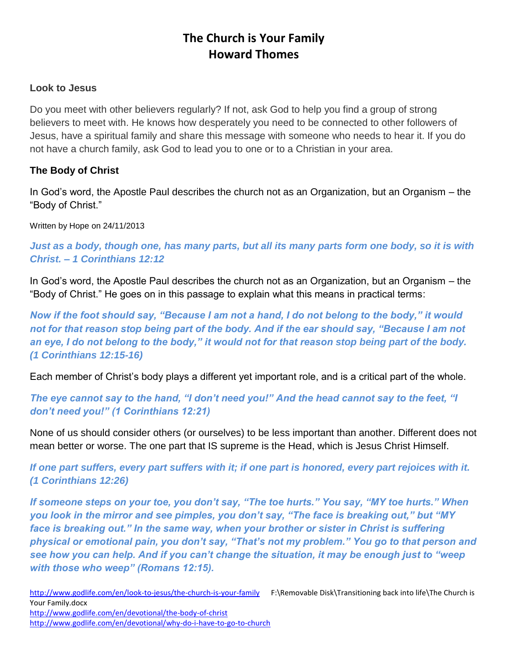#### **Look to Jesus**

Do you meet with other believers regularly? If not, ask God to help you find a group of strong believers to meet with. He knows how desperately you need to be connected to other followers of Jesus, have a spiritual family and share this message with someone who needs to hear it. If you do not have a church family, ask God to lead you to one or to a Christian in your area.

### **The Body of Christ**

In God's word, the Apostle Paul describes the church not as an Organization, but an Organism – the "Body of Christ."

Written by Hope on 24/11/2013

*Just as a body, though one, has many parts, but all its many parts form one body, so it is with Christ. – 1 Corinthians 12:12*

In God's word, the Apostle Paul describes the church not as an Organization, but an Organism – the "Body of Christ." He goes on in this passage to explain what this means in practical terms:

*Now if the foot should say, "Because I am not a hand, I do not belong to the body," it would not for that reason stop being part of the body. And if the ear should say, "Because I am not an eye, I do not belong to the body," it would not for that reason stop being part of the body. (1 Corinthians 12:15-16)*

Each member of Christ's body plays a different yet important role, and is a critical part of the whole.

*The eye cannot say to the hand, "I don't need you!" And the head cannot say to the feet, "I don't need you!" (1 Corinthians 12:21)*

None of us should consider others (or ourselves) to be less important than another. Different does not mean better or worse. The one part that IS supreme is the Head, which is Jesus Christ Himself.

*If one part suffers, every part suffers with it; if one part is honored, every part rejoices with it. (1 Corinthians 12:26)*

*If someone steps on your toe, you don't say, "The toe hurts." You say, "MY toe hurts." When you look in the mirror and see pimples, you don't say, "The face is breaking out," but "MY face is breaking out." In the same way, when your brother or sister in Christ is suffering physical or emotional pain, you don't say, "That's not my problem." You go to that person and see how you can help. And if you can't change the situation, it may be enough just to "weep with those who weep" (Romans 12:15).*

<http://www.godlife.com/en/look-to-jesus/the-church-is-your-family>F:\Removable Disk\Transitioning back into life\The Church is Your Family.docx

<http://www.godlife.com/en/devotional/the-body-of-christ> <http://www.godlife.com/en/devotional/why-do-i-have-to-go-to-church>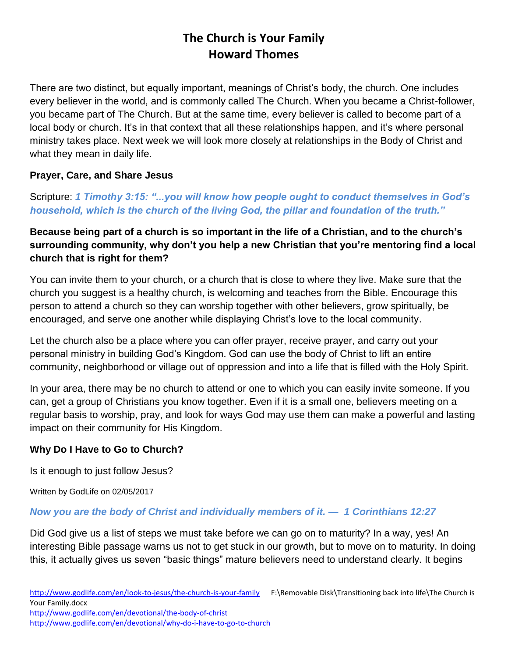There are two distinct, but equally important, meanings of Christ's body, the church. One includes every believer in the world, and is commonly called The Church. When you became a Christ-follower, you became part of The Church. But at the same time, every believer is called to become part of a local body or church. It's in that context that all these relationships happen, and it's where personal ministry takes place. Next week we will look more closely at relationships in the Body of Christ and what they mean in daily life.

### **Prayer, Care, and Share Jesus**

Scripture: *1 Timothy 3:15: "...you will know how people ought to conduct themselves in God's household, which is the church of the living God, the pillar and foundation of the truth."*

# **Because being part of a church is so important in the life of a Christian, and to the church's surrounding community, why don't you help a new Christian that you're mentoring find a local church that is right for them?**

You can invite them to your church, or a church that is close to where they live. Make sure that the church you suggest is a healthy church, is welcoming and teaches from the Bible. Encourage this person to attend a church so they can worship together with other believers, grow spiritually, be encouraged, and serve one another while displaying Christ's love to the local community.

Let the church also be a place where you can offer prayer, receive prayer, and carry out your personal ministry in building God's Kingdom. God can use the body of Christ to lift an entire community, neighborhood or village out of oppression and into a life that is filled with the Holy Spirit.

In your area, there may be no church to attend or one to which you can easily invite someone. If you can, get a group of Christians you know together. Even if it is a small one, believers meeting on a regular basis to worship, pray, and look for ways God may use them can make a powerful and lasting impact on their community for His Kingdom.

# **Why Do I Have to Go to Church?**

Is it enough to just follow Jesus?

Written by GodLife on 02/05/2017

### *Now you are the body of Christ and individually members of it. — 1 Corinthians 12:27*

Did God give us a list of steps we must take before we can go on to maturity? In a way, yes! An interesting Bible passage warns us not to get stuck in our growth, but to move on to maturity. In doing this, it actually gives us seven "basic things" mature believers need to understand clearly. It begins

<http://www.godlife.com/en/devotional/the-body-of-christ>

<http://www.godlife.com/en/devotional/why-do-i-have-to-go-to-church>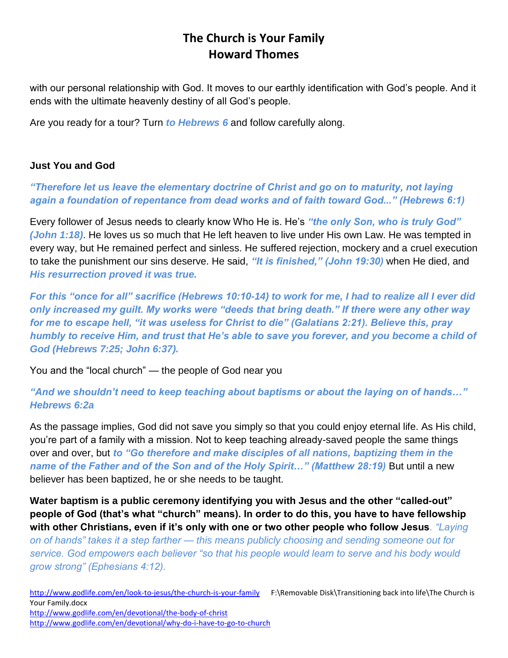with our personal relationship with God. It moves to our earthly identification with God's people. And it ends with the ultimate heavenly destiny of all God's people.

Are you ready for a tour? Turn *to Hebrews 6* and follow carefully along.

### **Just You and God**

### *"Therefore let us leave the elementary doctrine of Christ and go on to maturity, not laying again a foundation of repentance from dead works and of faith toward God..." (Hebrews 6:1)*

Every follower of Jesus needs to clearly know Who He is. He's *"the only Son, who is truly God" (John 1:18)*. He loves us so much that He left heaven to live under His own Law. He was tempted in every way, but He remained perfect and sinless. He suffered rejection, mockery and a cruel execution to take the punishment our sins deserve. He said, *"It is finished," (John 19:30)* when He died, and *His resurrection proved it was true.*

*For this "once for all" sacrifice (Hebrews 10:10-14) to work for me, I had to realize all I ever did only increased my guilt. My works were "deeds that bring death." If there were any other way for me to escape hell, "it was useless for Christ to die" (Galatians 2:21). Believe this, pray humbly to receive Him, and trust that He's able to save you forever, and you become a child of God (Hebrews 7:25; John 6:37).*

You and the "local church" — the people of God near you

*"And we shouldn't need to keep teaching about baptisms or about the laying on of hands…" Hebrews 6:2a*

As the passage implies, God did not save you simply so that you could enjoy eternal life. As His child, you're part of a family with a mission. Not to keep teaching already-saved people the same things over and over, but *to "Go therefore and make disciples of all nations, baptizing them in the name of the Father and of the Son and of the Holy Spirit…" (Matthew 28:19)* But until a new believer has been baptized, he or she needs to be taught.

**Water baptism is a public ceremony identifying you with Jesus and the other "called-out" people of God (that's what "church" means). In order to do this, you have to have fellowship with other Christians, even if it's only with one or two other people who follow Jesus***. "Laying* 

*on of hands" takes it a step farther — this means publicly choosing and sending someone out for service. God empowers each believer "so that his people would learn to serve and his body would grow strong" (Ephesians 4:12).*

<http://www.godlife.com/en/look-to-jesus/the-church-is-your-family>F:\Removable Disk\Transitioning back into life\The Church is Your Family.docx <http://www.godlife.com/en/devotional/the-body-of-christ> <http://www.godlife.com/en/devotional/why-do-i-have-to-go-to-church>